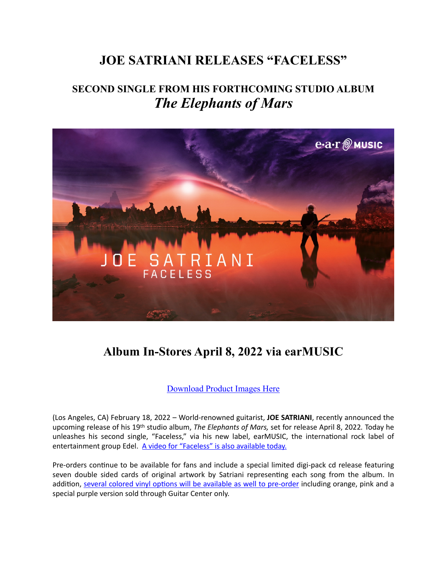# **JOE SATRIANI RELEASES "FACELESS"**

# **SECOND SINGLE FROM HIS FORTHCOMING STUDIO ALBUM** *The Elephants of Mars*



### **Album In-Stores April 8, 2022 via earMUSIC**

[Download Product Images Here](https://www.dropbox.com/sh/z3d30zdxp92giyo/AABp2L1OqZw-Wb09akFUUFWQa?dl=0)

(Los Angeles, CA) February 18, 2022 – World-renowned guitarist, **JOE SATRIANI**, recently announced the upcoming release of his 19th studio album, *The Elephants of Mars,* set for release April 8, 2022*.* Today he unleashes his second single, "Faceless," via his new label, earMUSIC, the international rock label of entertainment group Edel. [A video for "Faceless" is also available today.](https://www.youtube.com/watch?v=OcjHynXoroE)

Pre-orders continue to be available for fans and include a special limited digi-pack cd release featuring seven double sided cards of original artwork by Satriani representing each song from the album. In addition, [several colored vinyl options will be available as well to pre-order](http://store.satriani.com/) including orange, pink and a special purple version sold through Guitar Center only.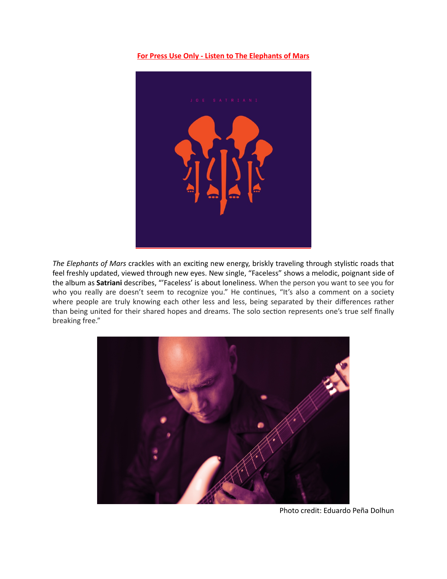#### **[For Press Use Only - Listen to The Elephants of Mars](https://www.promojukebox.com/PEMDL92959478-HDH5U4JDN26EYAJM-melissadragich@gmail.com,isabelle.albrecht)**



*The Elephants of Mars* crackles with an exciting new energy, briskly traveling through stylistic roads that feel freshly updated, viewed through new eyes. New single, "Faceless" shows a melodic, poignant side of the album as **Satriani** describes, "'Faceless' is about loneliness. When the person you want to see you for who you really are doesn't seem to recognize you." He continues, "It's also a comment on a society where people are truly knowing each other less and less, being separated by their differences rather than being united for their shared hopes and dreams. The solo section represents one's true self finally breaking free."



Photo credit: Eduardo Peña Dolhun